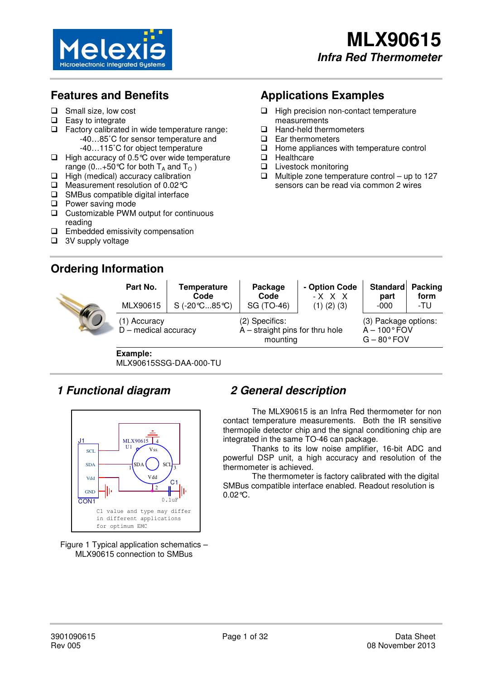

# **Features and Benefits**

- □ Small size, low cost
- $\Box$  Easy to integrate
- $\Box$  Factory calibrated in wide temperature range: -40…85˚C for sensor temperature and
	- -40…115˚C for object temperature
- $\Box$  High accuracy of 0.5  $\circ$  over wide temperature range (0...+50 °C for both  $T_A$  and  $T_O$ )
- $\Box$  High (medical) accuracy calibration
- □ Measurement resolution of 0.02 ℃
- $\Box$  SMBus compatible digital interface
- **Q** Power saving mode
- □ Customizable PWM output for continuous reading
- $\square$  Embedded emissivity compensation
- □ 3V supply voltage

١

# **Ordering Information**

# **Applications Examples**

- $\Box$  High precision non-contact temperature measurements
- □ Hand-held thermometers
- Ear thermometers
- $\Box$  Home appliances with temperature control
- **Healthcare**
- □ Livestock monitoring
- $\Box$  Multiple zone temperature control up to 127 sensors can be read via common 2 wires

| Part No.<br>MLX90615                   | <b>Temperature</b><br>Code<br>S(.20°C85°C) | Package<br>Code<br>SG (TO-46)                                   | - Option Code<br>- X X X<br>$(1)$ $(2)$ $(3)$                       | <b>Standard</b><br>part<br>$-000$ | <b>Packing</b><br>form<br>-TU |
|----------------------------------------|--------------------------------------------|-----------------------------------------------------------------|---------------------------------------------------------------------|-----------------------------------|-------------------------------|
| (1) Accuracy<br>$D$ – medical accuracy |                                            | (2) Specifics:<br>$A$ – straight pins for thru hole<br>mounting | (3) Package options:<br>$A - 100^{\circ}$ FOV<br>$G - 80^\circ$ FOV |                                   |                               |

**Example:**  MLX90615SSG-DAA-000-TU

# **1 Functional diagram**



Figure 1 Typical application schematics – MLX90615 connection to SMBus

# **2 General description**

 The MLX90615 is an Infra Red thermometer for non contact temperature measurements. Both the IR sensitive thermopile detector chip and the signal conditioning chip are integrated in the same TO-46 can package.

Thanks to its low noise amplifier, 16-bit ADC and powerful DSP unit, a high accuracy and resolution of the thermometer is achieved.

The thermometer is factory calibrated with the digital SMBus compatible interface enabled. Readout resolution is 0.02°C.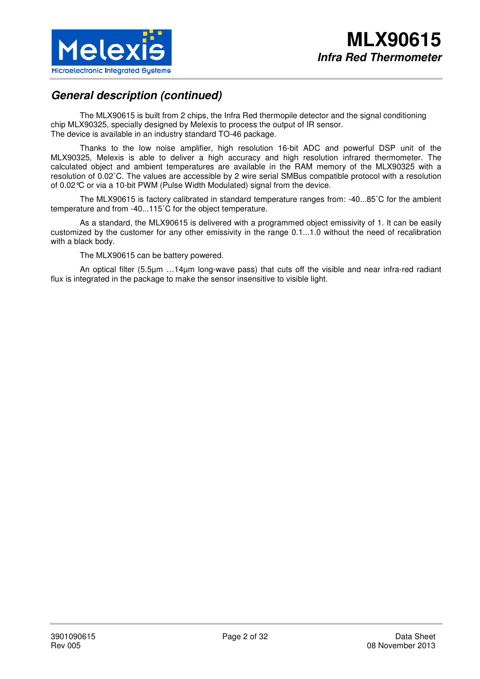

# **General description (continued)**

The MLX90615 is built from 2 chips, the Infra Red thermopile detector and the signal conditioning chip MLX90325, specially designed by Melexis to process the output of IR sensor. The device is available in an industry standard TO-46 package.

Thanks to the low noise amplifier, high resolution 16-bit ADC and powerful DSP unit of the MLX90325, Melexis is able to deliver a high accuracy and high resolution infrared thermometer. The calculated object and ambient temperatures are available in the RAM memory of the MLX90325 with a resolution of 0.02˚C. The values are accessible by 2 wire serial SMBus compatible protocol with a resolution of 0.02°C or via a 10-bit PWM (Pulse Width Modulated) signal from the device.

The MLX90615 is factory calibrated in standard temperature ranges from: -40...85˚C for the ambient temperature and from -40...115˚C for the object temperature.

As a standard, the MLX90615 is delivered with a programmed object emissivity of 1. It can be easily customized by the customer for any other emissivity in the range 0.1...1.0 without the need of recalibration with a black body.

The MLX90615 can be battery powered.

An optical filter (5.5µm …14µm long-wave pass) that cuts off the visible and near infra-red radiant flux is integrated in the package to make the sensor insensitive to visible light.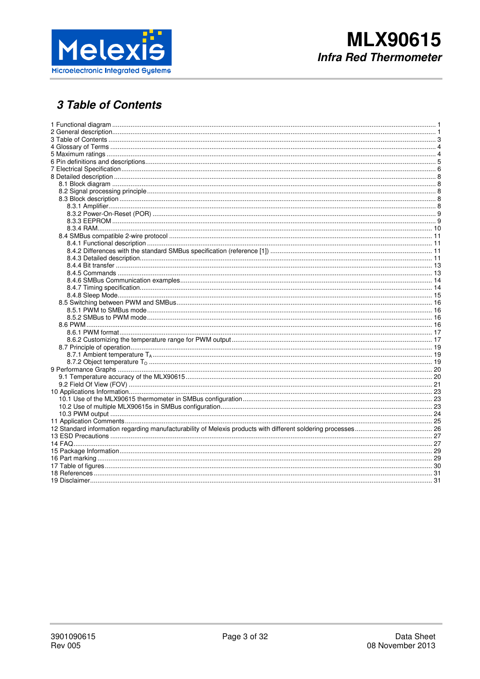

# 3 Table of Contents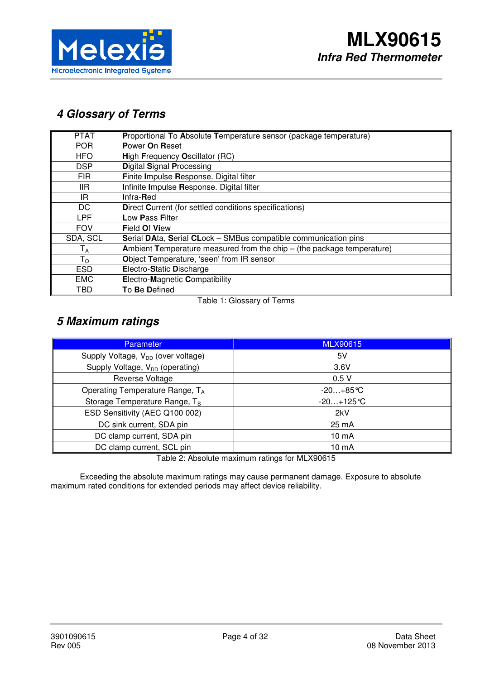

# **4 Glossary of Terms**

| <b>PTAT</b>             | Proportional To Absolute Temperature sensor (package temperature)        |
|-------------------------|--------------------------------------------------------------------------|
| <b>POR</b>              | Power On Reset                                                           |
| <b>HFO</b>              | High Frequency Oscillator (RC)                                           |
| <b>DSP</b>              | <b>Digital Signal Processing</b>                                         |
| <b>FIR</b>              | Finite Impulse Response. Digital filter                                  |
| llR.                    | Infinite Impulse Response. Digital filter                                |
| IR.                     | Infra-Red                                                                |
| DC                      | <b>Direct Current (for settled conditions specifications)</b>            |
| <b>LPF</b>              | Low Pass Filter                                                          |
| <b>FOV</b>              | <b>Field Of View</b>                                                     |
| SDA, SCL                | Serial DAta, Serial CLock - SMBus compatible communication pins          |
| $\mathsf{T}_\mathsf{A}$ | Ambient Temperature measured from the chip $-$ (the package temperature) |
| $T_{\rm O}$             | Object Temperature, 'seen' from IR sensor                                |
| <b>ESD</b>              | Electro-Static Discharge                                                 |
| <b>EMC</b>              | Electro-Magnetic Compatibility                                           |
| TBD                     | To Be Defined                                                            |

Table 1: Glossary of Terms

# **5 Maximum ratings**

| <b>Parameter</b>                               | <b>MLX90615</b> |  |  |
|------------------------------------------------|-----------------|--|--|
| Supply Voltage, V <sub>DD</sub> (over voltage) | 5V              |  |  |
| Supply Voltage, V <sub>DD</sub> (operating)    | 3.6V            |  |  |
| Reverse Voltage                                | 0.5V            |  |  |
| Operating Temperature Range, TA                | $-20+85$ °C     |  |  |
| Storage Temperature Range, T <sub>S</sub>      | $-20+125$ °C    |  |  |
| ESD Sensitivity (AEC Q100 002)                 | 2kV             |  |  |
| DC sink current, SDA pin                       | 25 mA           |  |  |
| DC clamp current, SDA pin                      | 10 mA           |  |  |
| DC clamp current, SCL pin                      | 10 mA           |  |  |

Table 2: Absolute maximum ratings for MLX90615

Exceeding the absolute maximum ratings may cause permanent damage. Exposure to absolute maximum rated conditions for extended periods may affect device reliability.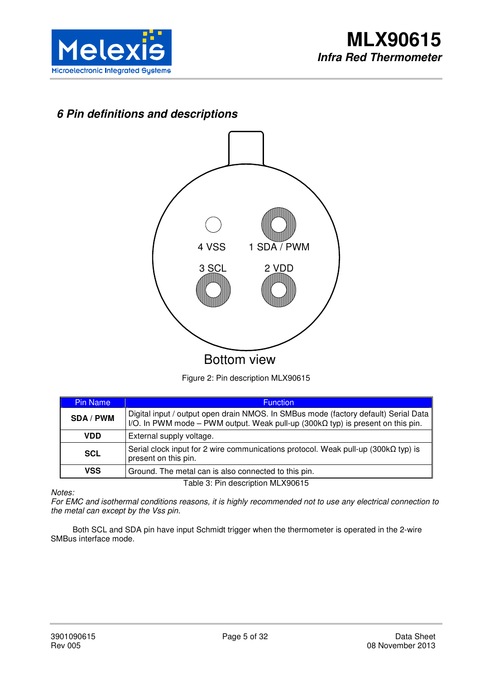

# **6 Pin definitions and descriptions**



Figure 2: Pin description MLX90615

| <b>Pin Name</b>                   | <b>Function</b>                                                                                                                                                                |  |  |  |  |
|-----------------------------------|--------------------------------------------------------------------------------------------------------------------------------------------------------------------------------|--|--|--|--|
| <b>SDA/PWM</b>                    | Digital input / output open drain NMOS. In SMBus mode (factory default) Serial Data<br>I/O. In PWM mode – PWM output. Weak pull-up (300k $\Omega$ typ) is present on this pin. |  |  |  |  |
| VDD                               | External supply voltage.                                                                                                                                                       |  |  |  |  |
| <b>SCL</b>                        | Serial clock input for 2 wire communications protocol. Weak pull-up (300k $\Omega$ typ) is<br>present on this pin.                                                             |  |  |  |  |
| VSS                               | Ground. The metal can is also connected to this pin.                                                                                                                           |  |  |  |  |
| Table 3: Pin description MLX90615 |                                                                                                                                                                                |  |  |  |  |

*Notes:*

*For EMC and isothermal conditions reasons, it is highly recommended not to use any electrical connection to the metal can except by the Vss pin.* 

Both SCL and SDA pin have input Schmidt trigger when the thermometer is operated in the 2-wire SMBus interface mode.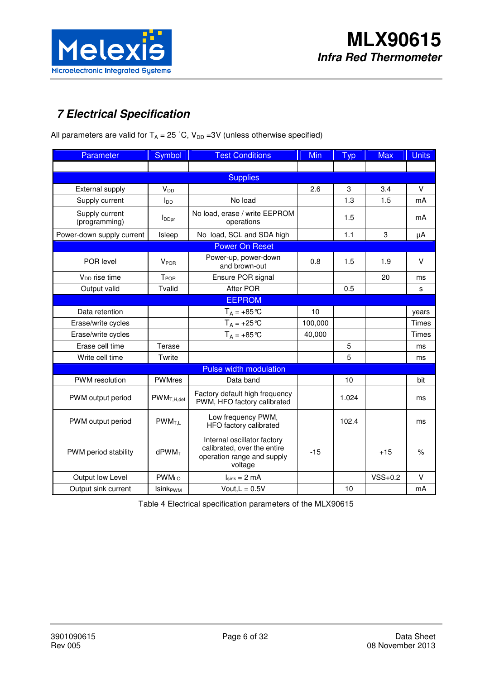

# **7 Electrical Specification**

All parameters are valid for  $T_A = 25 \degree C$ ,  $V_{DD} = 3V$  (unless otherwise specified)

| Parameter                       | Symbol                      | <b>Test Conditions</b>                                                                              | <b>Min</b> | <b>Typ</b> | Max       | <b>Units</b> |
|---------------------------------|-----------------------------|-----------------------------------------------------------------------------------------------------|------------|------------|-----------|--------------|
|                                 |                             |                                                                                                     |            |            |           |              |
|                                 |                             | <b>Supplies</b>                                                                                     |            |            |           |              |
| External supply                 | $V_{DD}$                    |                                                                                                     | 2.6        | 3          | 3.4       | V            |
| Supply current                  | $I_{DD}$                    | No load                                                                                             |            | 1.3        | 1.5       | mA           |
| Supply current<br>(programming) | <b>I</b> DDpr               | No load, erase / write EEPROM<br>operations                                                         |            | 1.5        |           | mA           |
| Power-down supply current       | Isleep                      | No load, SCL and SDA high                                                                           |            | 1.1        | 3         | μA           |
|                                 |                             | <b>Power On Reset</b>                                                                               |            |            |           |              |
| POR level                       | <b>V<sub>POR</sub></b>      | Power-up, power-down<br>and brown-out                                                               | 0.8        | 1.5        | 1.9       | $\vee$       |
| V <sub>DD</sub> rise time       | T <sub>POR</sub>            | Ensure POR signal                                                                                   |            |            | 20        | ms           |
| Output valid                    | Tvalid                      | After POR                                                                                           |            | 0.5        |           | s            |
|                                 |                             | <b>EEPROM</b>                                                                                       |            |            |           |              |
| Data retention                  |                             | $T_A = +85^{\circ}C$                                                                                | 10         |            |           | years        |
| Erase/write cycles              |                             | $T_A = +25$ °C                                                                                      | 100,000    |            |           | Times        |
| Erase/write cycles              |                             | $T_A = +85^{\circ}C$                                                                                | 40,000     |            |           | <b>Times</b> |
| Erase cell time                 | Terase                      |                                                                                                     |            | 5          |           | ms           |
| Write cell time                 | Twrite                      |                                                                                                     |            | 5          |           | ms           |
|                                 |                             | <b>Pulse width modulation</b>                                                                       |            |            |           |              |
| PWM resolution                  | <b>PWMres</b>               | Data band                                                                                           |            | 10         |           | bit          |
| PWM output period               | $PWM_{T,H,def}$             | Factory default high frequency<br>PWM, HFO factory calibrated                                       |            | 1.024      |           | ms           |
| PWM output period               | $PWM_{T.L}$                 | Low frequency PWM,<br>HFO factory calibrated                                                        |            | 102.4      |           | ms           |
| PWM period stability            | $d$ PWM $T$                 | Internal oscillator factory<br>calibrated, over the entire<br>operation range and supply<br>voltage | $-15$      |            | $+15$     | $\%$         |
| Output low Level                | PWM <sub>LO</sub>           | $I_{sink} = 2 mA$                                                                                   |            |            | $VSS+0.2$ | $\vee$       |
| Output sink current             | <b>Isink</b> <sub>PWM</sub> | Vout, $L = 0.5V$                                                                                    |            | 10         |           | mA           |

Table 4 Electrical specification parameters of the MLX90615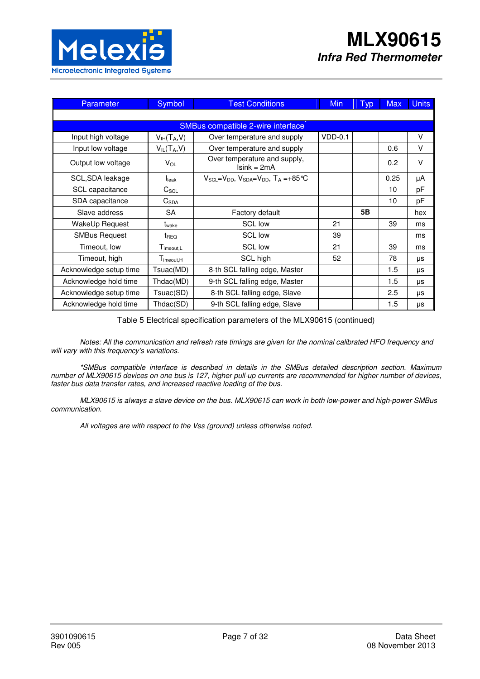

| Parameter              | Symbol                | <b>Test Conditions</b>                                   | <b>Min</b> | <b>Typ</b> | <b>Max</b> | <b>Units</b> |
|------------------------|-----------------------|----------------------------------------------------------|------------|------------|------------|--------------|
|                        |                       |                                                          |            |            |            |              |
|                        |                       | SMBus compatible 2-wire interface                        |            |            |            |              |
| Input high voltage     | $V_{IH}(T_A, V)$      | Over temperature and supply                              | $VDD-0.1$  |            |            | $\vee$       |
| Input low voltage      | $V_{IL}(T_A, V)$      | Over temperature and supply                              |            |            | 0.6        | $\vee$       |
| Output low voltage     | $V_{OL}$              | Over temperature and supply,<br>$Isink = 2mA$            |            |            | 0.2        | $\vee$       |
| SCL, SDA leakage       | <b>I</b> leak         | $V_{SCL} = V_{DD}$ , $V_{SDA} = V_{DD}$ , $T_A = +85$ °C |            |            | 0.25       | μA           |
| SCL capacitance        | $C_{\text{SCL}}$      |                                                          |            |            | 10         | pF           |
| SDA capacitance        | $C_{SDA}$             |                                                          |            |            | 10         | pF           |
| Slave address          | <b>SA</b>             | Factory default                                          |            | 5B         |            | hex          |
| WakeUp Request         | t <sub>wake</sub>     | <b>SCL low</b>                                           | 21         |            | 39         | ms           |
| <b>SMBus Request</b>   | t <sub>REQ</sub>      | <b>SCL low</b>                                           | 39         |            |            | ms           |
| Timeout, low           | $T_{\text{imecut},L}$ | <b>SCL low</b>                                           | 21         |            | 39         | ms           |
| Timeout, high          | $T_{\text{imecut},H}$ | SCL high                                                 | 52         |            | 78         | μs           |
| Acknowledge setup time | Tsuac(MD)             | 8-th SCL falling edge, Master                            |            |            | 1.5        | μs           |
| Acknowledge hold time  | Thdac(MD)             | 9-th SCL falling edge, Master                            |            |            | 1.5        | μs           |
| Acknowledge setup time | Tsuac(SD)             | 8-th SCL falling edge, Slave                             |            |            | 2.5        | μs           |
| Acknowledge hold time  | Thdac(SD)             | 9-th SCL falling edge, Slave                             |            |            | 1.5        | μs           |

Table 5 Electrical specification parameters of the MLX90615 (continued)

*Notes: All the communication and refresh rate timings are given for the nominal calibrated HFO frequency and will vary with this frequency's variations.* 

*\*SMBus compatible interface is described in details in the SMBus detailed description section. Maximum number of MLX90615 devices on one bus is 127, higher pull-up currents are recommended for higher number of devices, faster bus data transfer rates, and increased reactive loading of the bus.* 

*MLX90615 is always a slave device on the bus. MLX90615 can work in both low-power and high-power SMBus communication.* 

*All voltages are with respect to the Vss (ground) unless otherwise noted.*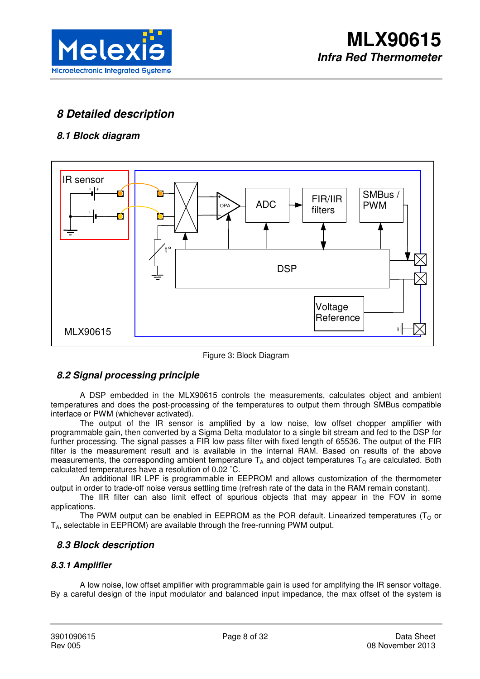

# **8 Detailed description**

# **8.1 Block diagram**



Figure 3: Block Diagram

## **8.2 Signal processing principle**

 A DSP embedded in the MLX90615 controls the measurements, calculates object and ambient temperatures and does the post-processing of the temperatures to output them through SMBus compatible interface or PWM (whichever activated).

The output of the IR sensor is amplified by a low noise, low offset chopper amplifier with programmable gain, then converted by a Sigma Delta modulator to a single bit stream and fed to the DSP for further processing. The signal passes a FIR low pass filter with fixed length of 65536. The output of the FIR filter is the measurement result and is available in the internal RAM. Based on results of the above measurements, the corresponding ambient temperature  $T_A$  and object temperatures  $T_O$  are calculated. Both calculated temperatures have a resolution of 0.02 ˚C.

An additional IIR LPF is programmable in EEPROM and allows customization of the thermometer output in order to trade-off noise versus settling time (refresh rate of the data in the RAM remain constant).

The IIR filter can also limit effect of spurious objects that may appear in the FOV in some applications.

The PWM output can be enabled in EEPROM as the POR default. Linearized temperatures ( $T_0$  or  $T_A$ , selectable in EEPROM) are available through the free-running PWM output.

## **8.3 Block description**

## **8.3.1 Amplifier**

A low noise, low offset amplifier with programmable gain is used for amplifying the IR sensor voltage. By a careful design of the input modulator and balanced input impedance, the max offset of the system is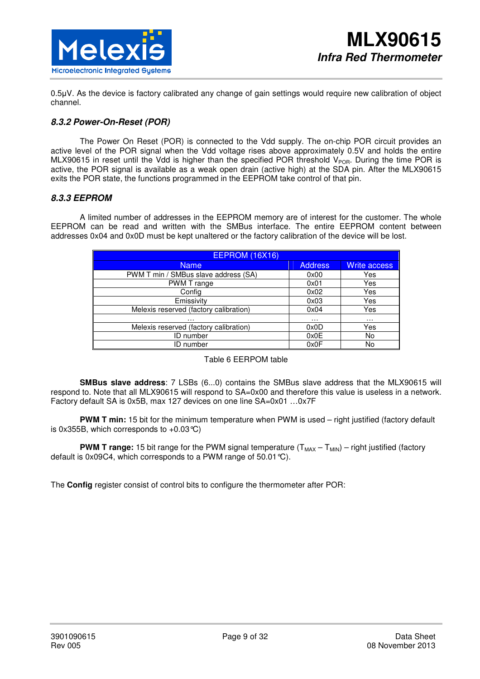

0.5µV. As the device is factory calibrated any change of gain settings would require new calibration of object channel.

### **8.3.2 Power-On-Reset (POR)**

The Power On Reset (POR) is connected to the Vdd supply. The on-chip POR circuit provides an active level of the POR signal when the Vdd voltage rises above approximately 0.5V and holds the entire MLX90615 in reset until the Vdd is higher than the specified POR threshold  $V_{POR}$ . During the time POR is active, the POR signal is available as a weak open drain (active high) at the SDA pin. After the MLX90615 exits the POR state, the functions programmed in the EEPROM take control of that pin.

#### **8.3.3 EEPROM**

A limited number of addresses in the EEPROM memory are of interest for the customer. The whole EEPROM can be read and written with the SMBus interface. The entire EEPROM content between addresses 0x04 and 0x0D must be kept unaltered or the factory calibration of the device will be lost.

| <b>EEPROM (16X16)</b>                  |                |                     |  |  |  |  |
|----------------------------------------|----------------|---------------------|--|--|--|--|
| <b>Name</b>                            | <b>Address</b> | <b>Write access</b> |  |  |  |  |
| PWM T min / SMBus slave address (SA)   | 0x00           | Yes                 |  |  |  |  |
| PWM T range                            | 0x01           | Yes                 |  |  |  |  |
| Config                                 | 0x02           | Yes                 |  |  |  |  |
| Emissivity                             | 0x03           | Yes                 |  |  |  |  |
| Melexis reserved (factory calibration) | 0x04           | Yes                 |  |  |  |  |
| .                                      | $\cdots$       | $\cdots$            |  |  |  |  |
| Melexis reserved (factory calibration) | 0x0D           | Yes                 |  |  |  |  |
| <b>ID</b> number                       | 0x0E           | No                  |  |  |  |  |
| ID number                              | 0x0F           | No                  |  |  |  |  |

#### Table 6 EERPOM table

**SMBus slave address**: 7 LSBs (6...0) contains the SMBus slave address that the MLX90615 will respond to. Note that all MLX90615 will respond to SA=0x00 and therefore this value is useless in a network. Factory default SA is 0x5B, max 127 devices on one line SA=0x01 …0x7F

**PWM T min:** 15 bit for the minimum temperature when PWM is used – right justified (factory default is 0x355B, which corresponds to  $+0.03$  °C)

**PWM T range:** 15 bit range for the PWM signal temperature  $(T_{MAX} - T_{MIN})$  – right justified (factory default is 0x09C4, which corresponds to a PWM range of 50.01°C).

The **Config** register consist of control bits to configure the thermometer after POR: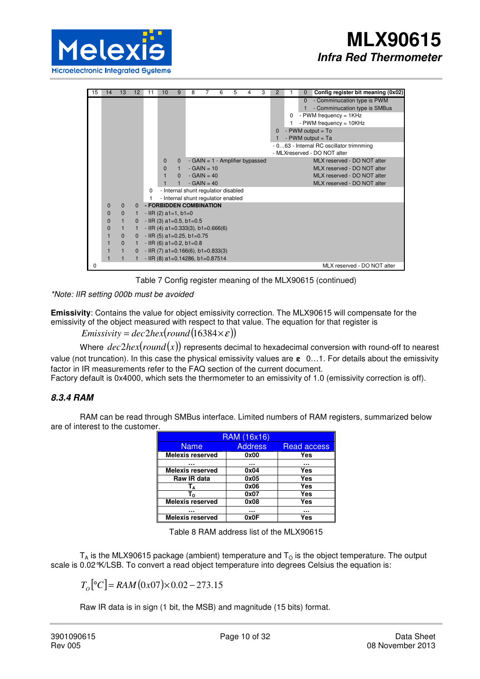

| 15 | 14          | 13           | 12           | 11                                   | 10                                   | 9            | 8                                    | 7            | 6 | 5                                 | 4 | 3 | 2            |   | $\Omega$ | Config register bit meaning (0x02)                                                                                |
|----|-------------|--------------|--------------|--------------------------------------|--------------------------------------|--------------|--------------------------------------|--------------|---|-----------------------------------|---|---|--------------|---|----------|-------------------------------------------------------------------------------------------------------------------|
|    |             |              |              |                                      |                                      |              |                                      |              |   |                                   |   |   |              | 0 | $\Omega$ | - Comminucation type is PWM<br>- Comminucation type is SMBus<br>- PWM frequency = 1KHz<br>- PWM frequency = 10KHz |
|    |             |              |              |                                      |                                      |              |                                      |              |   |                                   |   |   | $\mathbf{0}$ |   |          | - PWM output $=$ To                                                                                               |
|    |             |              |              |                                      |                                      |              |                                      |              |   |                                   |   |   |              |   |          | - PWM output $=$ Ta                                                                                               |
|    |             |              |              |                                      |                                      |              |                                      |              |   |                                   |   |   |              |   |          | - 063 - Internal RC oscillator trimnming                                                                          |
|    |             |              |              |                                      |                                      |              |                                      |              |   |                                   |   |   |              |   |          | - MLXreserved - DO NOT alter                                                                                      |
|    |             |              |              |                                      | $\mathbf{0}$                         | $\mathbf{0}$ |                                      |              |   | - GAIN = $1$ - Amplifier bypassed |   |   |              |   |          | MLX reserved - DO NOT alter                                                                                       |
|    |             |              |              |                                      | $\Omega$                             |              |                                      | $-GAIN = 10$ |   |                                   |   |   |              |   |          | MLX reserved - DO NOT alter                                                                                       |
|    |             |              |              |                                      |                                      | $\Omega$     |                                      | $-GAIN = 40$ |   |                                   |   |   |              |   |          | MLX reserved - DO NOT alter                                                                                       |
|    |             |              |              |                                      |                                      |              |                                      | $-GAIN = 40$ |   |                                   |   |   |              |   |          | MLX reserved - DO NOT alter                                                                                       |
|    |             |              |              | $\Omega$                             |                                      |              | - Internal shunt regulatior disabled |              |   |                                   |   |   |              |   |          |                                                                                                                   |
|    |             |              |              |                                      |                                      |              | - Internal shunt regulatior enabled  |              |   |                                   |   |   |              |   |          |                                                                                                                   |
|    | 0           | $\mathbf{0}$ | $\Omega$     |                                      | - FORBIDDEN COMBINATION              |              |                                      |              |   |                                   |   |   |              |   |          |                                                                                                                   |
|    | $\mathbf 0$ | $\mathbf{0}$ |              |                                      | $-$ IIR (2) a1=1, b1=0               |              |                                      |              |   |                                   |   |   |              |   |          |                                                                                                                   |
|    | 0           | $\mathbf{1}$ | $\mathbf{0}$ |                                      | $-$ IIR (3) a1=0.5, b1=0.5           |              |                                      |              |   |                                   |   |   |              |   |          |                                                                                                                   |
|    | 0           | $\mathbf{1}$ |              |                                      | $-$ IIR (4) a1=0.333(3), b1=0.666(6) |              |                                      |              |   |                                   |   |   |              |   |          |                                                                                                                   |
|    |             | $\mathbf{0}$ | 0            |                                      | $-$ IIR (5) a1=0.25, b1=0.75         |              |                                      |              |   |                                   |   |   |              |   |          |                                                                                                                   |
|    |             | $\mathbf{0}$ |              |                                      | $-$ IIR (6) a1=0.2, b1=0.8           |              |                                      |              |   |                                   |   |   |              |   |          |                                                                                                                   |
|    |             |              |              | 0 - IIR (7) a1=0.166(6), b1=0.833(3) |                                      |              |                                      |              |   |                                   |   |   |              |   |          |                                                                                                                   |
|    |             |              |              |                                      | - IIR (8) a1=0.14286, b1=0.87514     |              |                                      |              |   |                                   |   |   |              |   |          |                                                                                                                   |
| 0  |             |              |              |                                      |                                      |              |                                      |              |   |                                   |   |   |              |   |          | MLX reserved - DO NOT alter                                                                                       |

Table 7 Config register meaning of the MLX90615 (continued)

*\*Note: IIR setting 000b must be avoided* 

**Emissivity**: Contains the value for object emissivity correction. The MLX90615 will compensate for the emissivity of the object measured with respect to that value. The equation for that register is

*Emissivity* =  $dec2hex(round(16384 \times \varepsilon))$ 

Where *dec*2*hex*(*round*(*x*)) represents decimal to hexadecimal conversion with round-off to nearest value (not truncation). In this case the physical emissivity values are **ε** 0…1. For details about the emissivity factor in IR measurements refer to the FAQ section of the current document.

Factory default is 0x4000, which sets the thermometer to an emissivity of 1.0 (emissivity correction is off).

## **8.3.4 RAM**

RAM can be read through SMBus interface. Limited numbers of RAM registers, summarized below are of interest to the customer.

| <b>RAM (16x16)</b>      |                |             |  |  |  |  |
|-------------------------|----------------|-------------|--|--|--|--|
| <b>Name</b>             | <b>Address</b> | Read access |  |  |  |  |
| <b>Melexis reserved</b> | 0x00           | Yes         |  |  |  |  |
|                         |                |             |  |  |  |  |
| <b>Melexis reserved</b> | 0x04           | Yes         |  |  |  |  |
| Raw IR data             | 0x05           | Yes         |  |  |  |  |
| l ۵                     | 0x06           | Yes         |  |  |  |  |
| I ه                     | 0x07           | Yes         |  |  |  |  |
| <b>Melexis reserved</b> | 0x08           | Yes         |  |  |  |  |
| ---                     |                |             |  |  |  |  |
| <b>Melexis reserved</b> | 0x0F           | Yes         |  |  |  |  |

|  | Table 8 RAM address list of the MLX90615 |
|--|------------------------------------------|
|--|------------------------------------------|

 $T_A$  is the MLX90615 package (ambient) temperature and  $T_O$  is the object temperature. The output scale is 0.02°K/LSB. To convert a read object temperature into degrees Celsius the equation is:

 $T_{0}$ [°C] = *RAM* (0*x*07)× 0.02 – 273.15

Raw IR data is in sign (1 bit, the MSB) and magnitude (15 bits) format.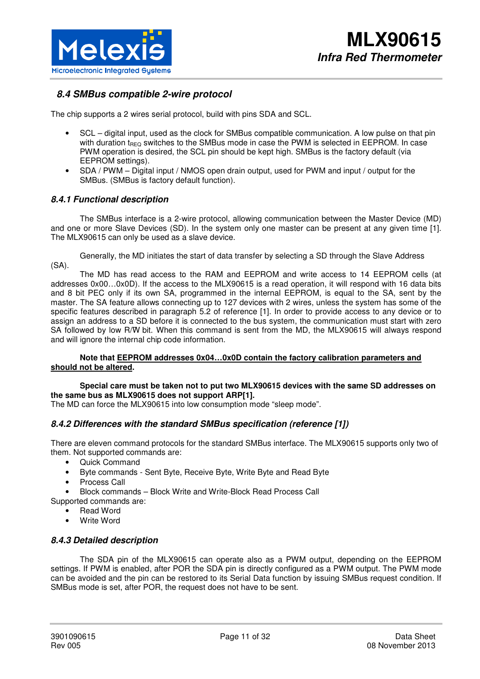

# **8.4 SMBus compatible 2-wire protocol**

The chip supports a 2 wires serial protocol, build with pins SDA and SCL.

- SCL digital input, used as the clock for SMBus compatible communication. A low pulse on that pin with duration t<sub>REQ</sub> switches to the SMBus mode in case the PWM is selected in EEPROM. In case PWM operation is desired, the SCL pin should be kept high. SMBus is the factory default (via EEPROM settings).
- SDA / PWM Digital input / NMOS open drain output, used for PWM and input / output for the SMBus. (SMBus is factory default function).

### **8.4.1 Functional description**

The SMBus interface is a 2-wire protocol, allowing communication between the Master Device (MD) and one or more Slave Devices (SD). In the system only one master can be present at any given time [1]. The MLX90615 can only be used as a slave device.

Generally, the MD initiates the start of data transfer by selecting a SD through the Slave Address (SA).

The MD has read access to the RAM and EEPROM and write access to 14 EEPROM cells (at addresses 0x00…0x0D). If the access to the MLX90615 is a read operation, it will respond with 16 data bits and 8 bit PEC only if its own SA, programmed in the internal EEPROM, is equal to the SA, sent by the master. The SA feature allows connecting up to 127 devices with 2 wires, unless the system has some of the specific features described in paragraph 5.2 of reference [1]. In order to provide access to any device or to assign an address to a SD before it is connected to the bus system, the communication must start with zero SA followed by low R/W bit. When this command is sent from the MD, the MLX90615 will always respond and will ignore the internal chip code information.

#### **Note that EEPROM addresses 0x04…0x0D contain the factory calibration parameters and should not be altered.**

#### **Special care must be taken not to put two MLX90615 devices with the same SD addresses on the same bus as MLX90615 does not support ARP[1].**

The MD can force the MLX90615 into low consumption mode "sleep mode".

### **8.4.2 Differences with the standard SMBus specification (reference [1])**

There are eleven command protocols for the standard SMBus interface. The MLX90615 supports only two of them. Not supported commands are:

- Quick Command
- Byte commands Sent Byte, Receive Byte, Write Byte and Read Byte
- Process Call
- Block commands Block Write and Write-Block Read Process Call

Supported commands are:

- **Read Word**
- Write Word

### **8.4.3 Detailed description**

The SDA pin of the MLX90615 can operate also as a PWM output, depending on the EEPROM settings. If PWM is enabled, after POR the SDA pin is directly configured as a PWM output. The PWM mode can be avoided and the pin can be restored to its Serial Data function by issuing SMBus request condition. If SMBus mode is set, after POR, the request does not have to be sent.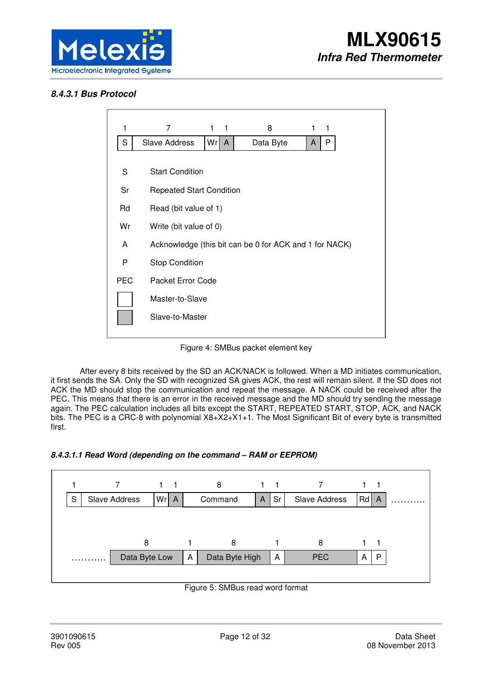

## **8.4.3.1 Bus Protocol**



Figure 4: SMBus packet element key

After every 8 bits received by the SD an ACK/NACK is followed. When a MD initiates communication, it first sends the SA. Only the SD with recognized SA gives ACK, the rest will remain silent. If the SD does not ACK the MD should stop the communication and repeat the message. A NACK could be received after the PEC. This means that there is an error in the received message and the MD should try sending the message again. The PEC calculation includes all bits except the START, REPEATED START, STOP, ACK, and NACK bits. The PEC is a CRC-8 with polynomial X8+X2+X1+1. The Most Significant Bit of every byte is transmitted first.





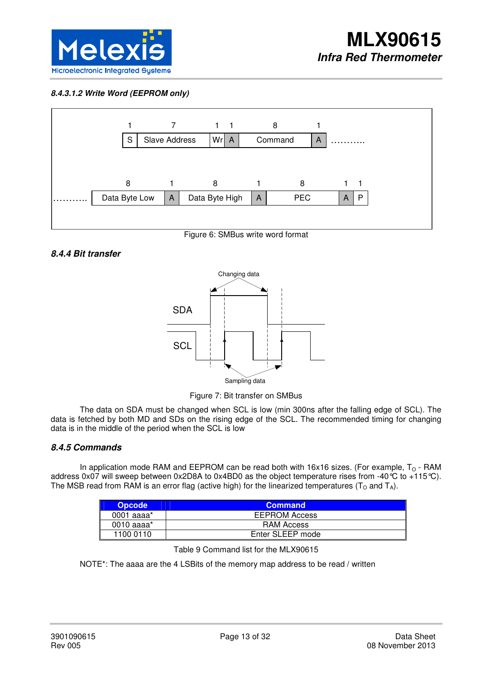

### **8.4.3.1.2 Write Word (EEPROM only)**



Figure 6: SMBus write word format

### **8.4.4 Bit transfer**



Figure 7: Bit transfer on SMBus

The data on SDA must be changed when SCL is low (min 300ns after the falling edge of SCL). The data is fetched by both MD and SDs on the rising edge of the SCL. The recommended timing for changing data is in the middle of the period when the SCL is low

### **8.4.5 Commands**

In application mode RAM and EEPROM can be read both with 16x16 sizes. (For example,  $T_0$  - RAM address 0x07 will sweep between 0x2D8A to 0x4BD0 as the object temperature rises from -40°C to +115°C). The MSB read from RAM is an error flag (active high) for the linearized temperatures ( $T<sub>O</sub>$  and  $T<sub>A</sub>$ ).

| Opcode         | <b>Command</b>       |
|----------------|----------------------|
| 0001 aaaa $^*$ | <b>EEPROM Access</b> |
| 0010 aaaa $^*$ | RAM Access           |
| 1100 0110      | Enter SLEEP mode     |

Table 9 Command list for the MLX90615

NOTE\*: The aaaa are the 4 LSBits of the memory map address to be read / written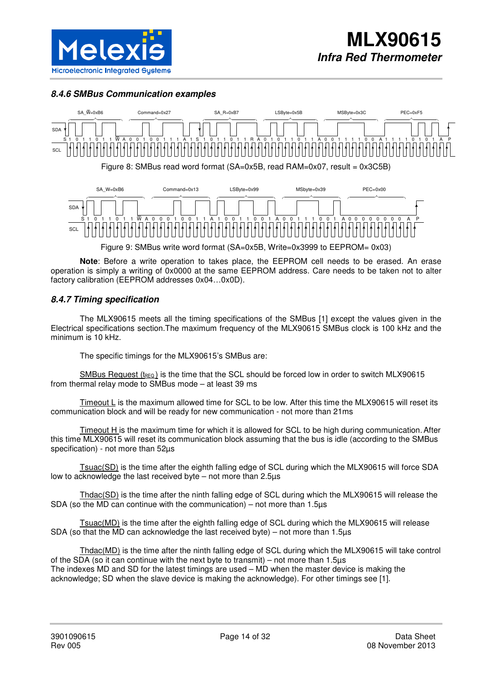

### **8.4.6 SMBus Communication examples**



Figure 9: SMBus write word format (SA=0x5B, Write=0x3999

**Note**: Before a write operation to takes place, the EEPROM cell needs to be erased. An erase operation is simply a writing of 0x0000 at the same EEPROM address. Care needs to be taken not to alter factory calibration (EEPROM addresses 0x04…0x0D).

### **8.4.7 Timing specification**

The MLX90615 meets all the timing specifications of the SMBus [1] except the values given in the Electrical specifications section.The maximum frequency of the MLX90615 SMBus clock is 100 kHz and the minimum is 10 kHz.

The specific timings for the MLX90615's SMBus are:

 $SMBus$  Request (t<sub>REQ</sub>) is the time that the SCL should be forced low in order to switch MLX90615 from thermal relay mode to SMBus mode – at least 39 ms

Timeout L is the maximum allowed time for SCL to be low. After this time the MLX90615 will reset its communication block and will be ready for new communication - not more than 21ms

Timeout H is the maximum time for which it is allowed for SCL to be high during communication.After this time MLX90615 will reset its communication block assuming that the bus is idle (according to the SMBus specification) - not more than 52µs

Tsuac(SD) is the time after the eighth falling edge of SCL during which the MLX90615 will force SDA low to acknowledge the last received byte – not more than 2.5µs

Thdac(SD) is the time after the ninth falling edge of SCL during which the MLX90615 will release the SDA (so the MD can continue with the communication) – not more than 1.5µs

Tsuac(MD) is the time after the eighth falling edge of SCL during which the MLX90615 will release SDA (so that the MD can acknowledge the last received byte) – not more than 1.5µs

Thdac(MD) is the time after the ninth falling edge of SCL during which the MLX90615 will take control of the SDA (so it can continue with the next byte to transmit) – not more than 1.5µs The indexes MD and SD for the latest timings are used – MD when the master device is making the acknowledge; SD when the slave device is making the acknowledge). For other timings see [1].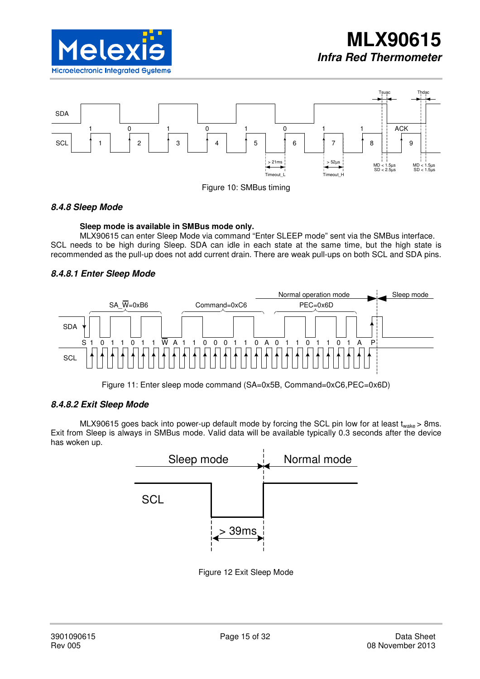





### **8.4.8 Sleep Mode**

#### **Sleep mode is available in SMBus mode only.**

MLX90615 can enter Sleep Mode via command "Enter SLEEP mode" sent via the SMBus interface. SCL needs to be high during Sleep. SDA can idle in each state at the same time, but the high state is recommended as the pull-up does not add current drain. There are weak pull-ups on both SCL and SDA pins.

## **8.4.8.1 Enter Sleep Mode**



Figure 11: Enter sleep mode command (SA=0x5B, Command=0xC6,PEC=0x6D)

### **8.4.8.2 Exit Sleep Mode**

MLX90615 goes back into power-up default mode by forcing the SCL pin low for at least  $t_{\text{wake}}$  > 8ms. Exit from Sleep is always in SMBus mode. Valid data will be available typically 0.3 seconds after the device has woken up.



Figure 12 Exit Sleep Mode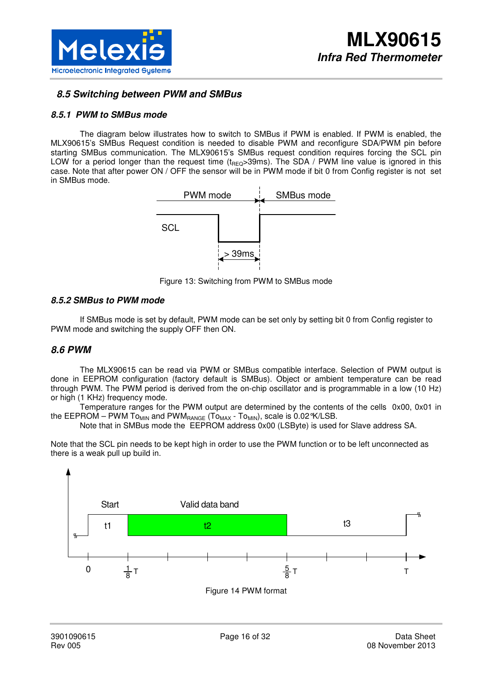

## **8.5 Switching between PWM and SMBus**

### **8.5.1 PWM to SMBus mode**

The diagram below illustrates how to switch to SMBus if PWM is enabled. If PWM is enabled, the MLX90615's SMBus Request condition is needed to disable PWM and reconfigure SDA/PWM pin before starting SMBus communication. The MLX90615's SMBus request condition requires forcing the SCL pin LOW for a period longer than the request time ( $t_{\text{REQ}}$ >39ms). The SDA / PWM line value is ignored in this case. Note that after power ON / OFF the sensor will be in PWM mode if bit 0 from Config register is not set in SMBus mode.



Figure 13: Switching from PWM to SMBus mode

#### **8.5.2 SMBus to PWM mode**

If SMBus mode is set by default, PWM mode can be set only by setting bit 0 from Config register to PWM mode and switching the supply OFF then ON.

### **8.6 PWM**

The MLX90615 can be read via PWM or SMBus compatible interface. Selection of PWM output is done in EEPROM configuration (factory default is SMBus). Object or ambient temperature can be read through PWM. The PWM period is derived from the on-chip oscillator and is programmable in a low (10 Hz) or high (1 KHz) frequency mode.

Temperature ranges for the PWM output are determined by the contents of the cells 0x00, 0x01 in the EEPROM – PWM To<sub>MIN</sub> and PWM<sub>RANGE</sub> (To<sub>MAX</sub> - To<sub>MIN</sub>), scale is 0.02 °K/LSB.

Note that in SMBus mode the EEPROM address 0x00 (LSByte) is used for Slave address SA.

Note that the SCL pin needs to be kept high in order to use the PWM function or to be left unconnected as there is a weak pull up build in.

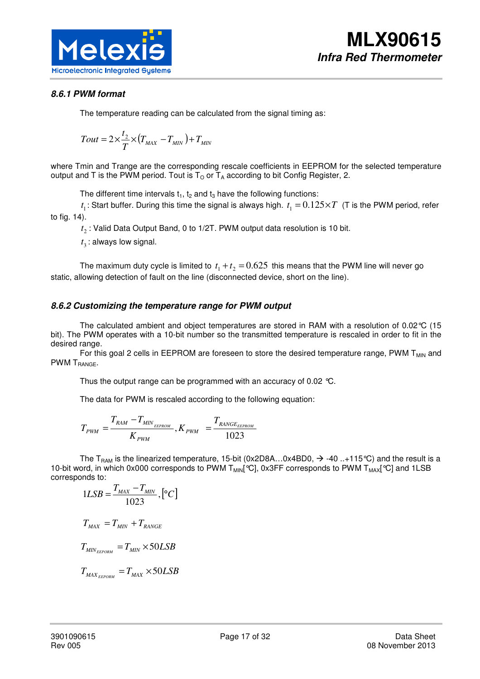

## **8.6.1 PWM format**

The temperature reading can be calculated from the signal timing as:

$$
Tout = 2 \times \frac{t_2}{T} \times (T_{MAX} - T_{MIN}) + T_{MIN}
$$

where Tmin and Trange are the corresponding rescale coefficients in EEPROM for the selected temperature output and T is the PWM period. Tout is  $T<sub>O</sub>$  or  $T<sub>A</sub>$  according to bit Config Register, 2.

The different time intervals  $t_1$ ,  $t_2$  and  $t_3$  have the following functions:

 $t_1$ : Start buffer. During this time the signal is always high.  $t_1 = 0.125 \times T$  (T is the PWM period, refer to fig. 14).

 $t_2$ : Valid Data Output Band, 0 to 1/2T. PWM output data resolution is 10 bit.

 $t_3$ : always low signal.

The maximum duty cycle is limited to  $t_1 + t_2 = 0.625$  this means that the PWM line will never go static, allowing detection of fault on the line (disconnected device, short on the line).

### **8.6.2 Customizing the temperature range for PWM output**

The calculated ambient and object temperatures are stored in RAM with a resolution of 0.02°C (15 bit). The PWM operates with a 10-bit number so the transmitted temperature is rescaled in order to fit in the desired range.

For this goal 2 cells in EEPROM are foreseen to store the desired temperature range, PWM T<sub>MIN</sub> and PWM T<sub>RANGE</sub>.

Thus the output range can be programmed with an accuracy of 0.02 °C.

The data for PWM is rescaled according to the following equation:

$$
T_{\scriptscriptstyle PWM} = \frac{T_{\scriptscriptstyle RAM} - T_{\scriptscriptstyle MIN_{\scriptscriptstyle EEPROM}}}{K_{\scriptscriptstyle PWM}}, K_{\scriptscriptstyle PWM} = \frac{T_{\scriptscriptstyle RANGE_{\scriptscriptstyle EEPROM}}}{1023}
$$

The T<sub>RAM</sub> is the linearized temperature, 15-bit (0x2D8A...0x4BD0,  $\rightarrow$  -40 ..+115 °C) and the result is a 10-bit word, in which 0x000 corresponds to PWM  $T_{MIN}$ [°C], 0x3FF corresponds to PWM  $T_{MAX}$ [°C] and 1LSB corresponds to:

$$
1LSB = \frac{T_{MAX} - T_{MIN}}{1023}, \left[ {}^{o}C \right]
$$
  

$$
T_{MAX} = T_{MIN} + T_{RANGE}
$$
  

$$
T_{MIN_{EEDORM}} = T_{MIN} \times 50LSB
$$
  

$$
T_{MAX_{EEDORM}} = T_{MAX} \times 50LSB
$$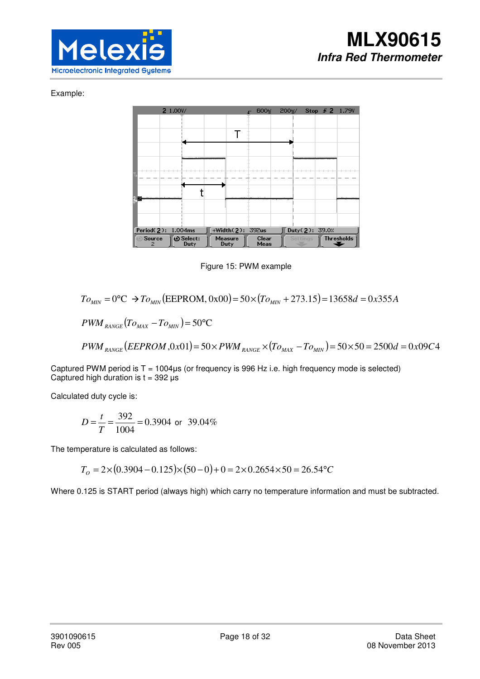### Example:



Figure 15: PWM example

$$
To_{MIN} = 0\text{°C} \rightarrow To_{MIN} (EEPROM, 0x00) = 50 \times (To_{MIN} + 273.15) = 13658d = 0x355A
$$

 $PWM_{\text{RANGE}}(To_{\text{MAX}} - To_{\text{MIN}}) = 50^{\circ}\text{C}$ 

 $PWM_{RANGE} (EEPROM, 0x01) = 50 \times PWM_{RANGE} \times (To_{MAX} - To_{MIN}) = 50 \times 50 = 2500d = 0x09C4$ 

Captured PWM period is T = 1004µs (or frequency is 996 Hz i.e. high frequency mode is selected) Captured high duration is  $t = 392$  us

Calculated duty cycle is:

$$
D = \frac{t}{T} = \frac{392}{1004} = 0.3904
$$
 or 39.04%

The temperature is calculated as follows:

$$
T_0 = 2 \times (0.3904 - 0.125) \times (50 - 0) + 0 = 2 \times 0.2654 \times 50 = 26.54 \,^{\circ}C
$$

Where 0.125 is START period (always high) which carry no temperature information and must be subtracted.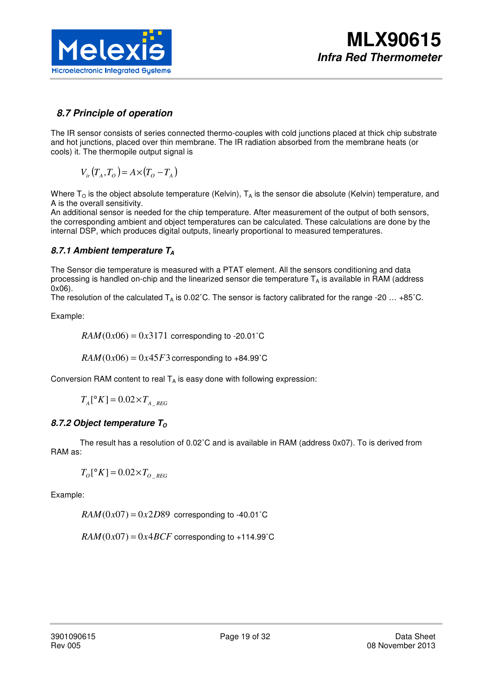

## **8.7 Principle of operation**

The IR sensor consists of series connected thermo-couples with cold junctions placed at thick chip substrate and hot junctions, placed over thin membrane. The IR radiation absorbed from the membrane heats (or cools) it. The thermopile output signal is

 $V_{ir}(T_A, T_O) = A \times (T_O - T_A)$ 

Where  $T_{\rm O}$  is the object absolute temperature (Kelvin),  $T_{\rm A}$  is the sensor die absolute (Kelvin) temperature, and A is the overall sensitivity.

An additional sensor is needed for the chip temperature. After measurement of the output of both sensors, the corresponding ambient and object temperatures can be calculated. These calculations are done by the internal DSP, which produces digital outputs, linearly proportional to measured temperatures.

## **8.7.1 Ambient temperature T<sup>A</sup>**

The Sensor die temperature is measured with a PTAT element. All the sensors conditioning and data processing is handled on-chip and the linearized sensor die temperature  $T_A$  is available in RAM (address 0x06).

The resolution of the calculated  $T_A$  is 0.02°C. The sensor is factory calibrated for the range -20 ... +85°C.

Example:

$$
RAM(0x06) = 0x3171
$$
 corresponding to -20.01°C

 $RAM(0x06) = 0x45F3$  corresponding to +84.99°C

Conversion RAM content to real  $T_A$  is easy done with following expression:

 $T_A [^{\circ}K] = 0.02 \times T_A$ 

### **8.7.2 Object temperature T**<sub>o</sub>

The result has a resolution of 0.02˚C and is available in RAM (address 0x07). To is derived from RAM as:

 $T_o[^{\circ}K] = 0.02 \times T_o$ 

Example:

 $RAM(0x07) = 0x2D89$  corresponding to -40.01°C

 $RAM(0x07) = 0x4BCF$  corresponding to +114.99°C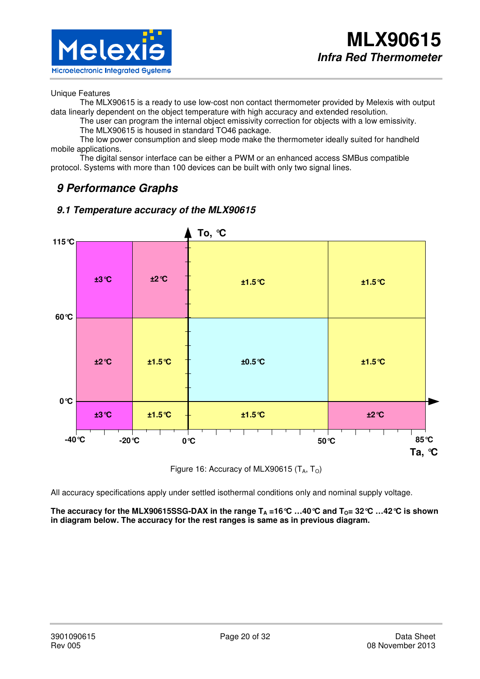

#### Unique Features

The MLX90615 is a ready to use low-cost non contact thermometer provided by Melexis with output data linearly dependent on the object temperature with high accuracy and extended resolution.

The user can program the internal object emissivity correction for objects with a low emissivity. The MLX90615 is housed in standard TO46 package.

The low power consumption and sleep mode make the thermometer ideally suited for handheld mobile applications.

The digital sensor interface can be either a PWM or an enhanced access SMBus compatible protocol. Systems with more than 100 devices can be built with only two signal lines.

# **9 Performance Graphs**



## **9.1 Temperature accuracy of the MLX90615**

Figure 16: Accuracy of MLX90615  $(T_A, T_O)$ 

All accuracy specifications apply under settled isothermal conditions only and nominal supply voltage.

The accuracy for the MLX90615SSG-DAX in the range  $T_A = 16^\circ \text{C}$  ...40  $^\circ \text{C}$  and  $T_0 = 32^\circ \text{C}$  ...42  $^\circ \text{C}$  is shown **in diagram below. The accuracy for the rest ranges is same as in previous diagram.**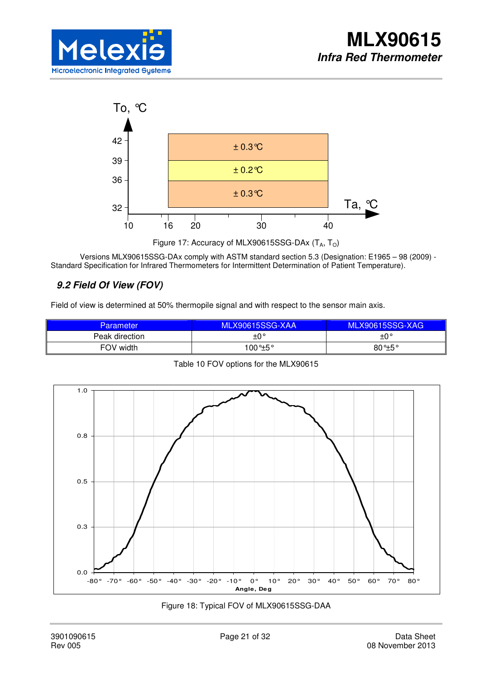



Figure 17: Accuracy of MLX90615SSG-DAx  $(T_A, T_O)$ 

Versions MLX90615SSG-DAx comply with ASTM standard section 5.3 (Designation: E1965 – 98 (2009) - Standard Specification for Infrared Thermometers for Intermittent Determination of Patient Temperature).

# **9.2 Field Of View (FOV)**

Field of view is determined at 50% thermopile signal and with respect to the sensor main axis.

| <b>Parameter</b> | MLX90615SSG-XAA   | <b>MLX90615SSG-XAG</b> |
|------------------|-------------------|------------------------|
| Peak direction   | $+0^{\circ}$      | $\pm 0^{\circ}$        |
| FOV width        | $100^{\circ}$ ±5° | $80^{\circ}$ +5°       |



Table 10 FOV options for the MLX90615

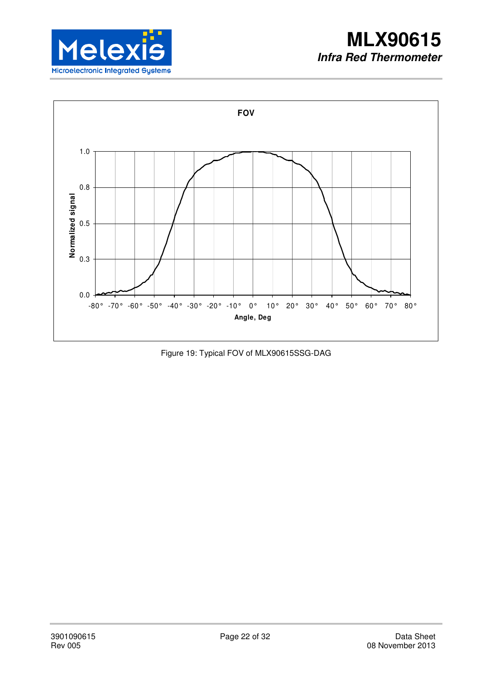



Figure 19: Typical FOV of MLX90615SSG-DAG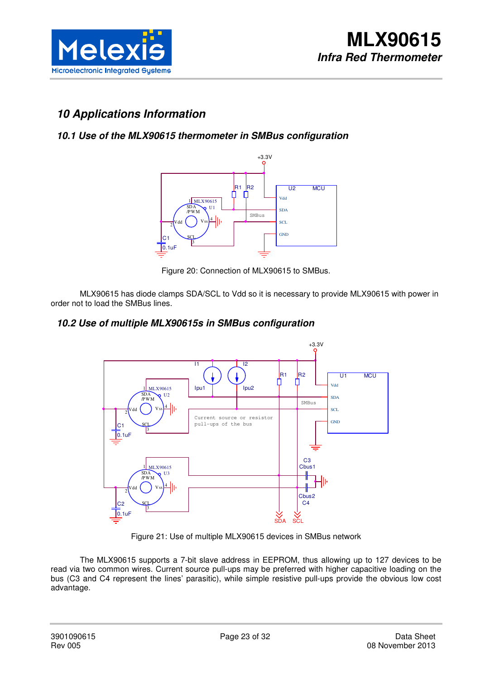

# **10 Applications Information**

# **10.1 Use of the MLX90615 thermometer in SMBus configuration**



Figure 20: Connection of MLX90615 to SMBus.

MLX90615 has diode clamps SDA/SCL to Vdd so it is necessary to provide MLX90615 with power in order not to load the SMBus lines.

## **10.2 Use of multiple MLX90615s in SMBus configuration**



Figure 21: Use of multiple MLX90615 devices in SMBus network

The MLX90615 supports a 7-bit slave address in EEPROM, thus allowing up to 127 devices to be read via two common wires. Current source pull-ups may be preferred with higher capacitive loading on the bus (C3 and C4 represent the lines' parasitic), while simple resistive pull-ups provide the obvious low cost advantage.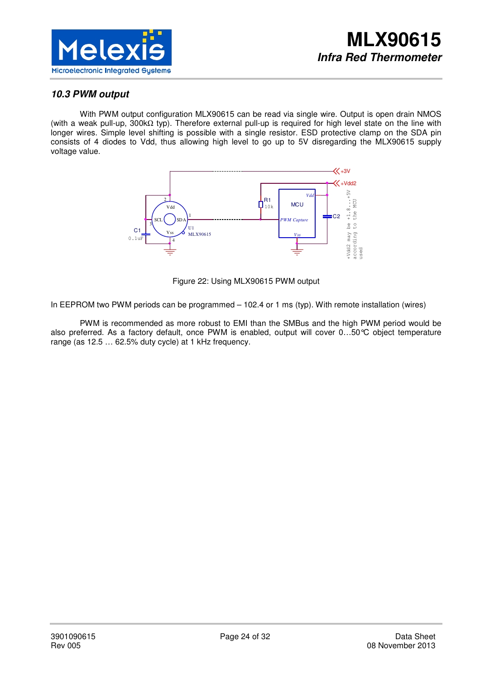

## **10.3 PWM output**

With PWM output configuration MLX90615 can be read via single wire. Output is open drain NMOS (with a weak pull-up, 300kΩ typ). Therefore external pull-up is required for high level state on the line with longer wires. Simple level shifting is possible with a single resistor. ESD protective clamp on the SDA pin consists of 4 diodes to Vdd, thus allowing high level to go up to 5V disregarding the MLX90615 supply voltage value.



Figure 22: Using MLX90615 PWM output

In EEPROM two PWM periods can be programmed – 102.4 or 1 ms (typ). With remote installation (wires)

PWM is recommended as more robust to EMI than the SMBus and the high PWM period would be also preferred. As a factory default, once PWM is enabled, output will cover 0…50°C object temperature range (as 12.5 … 62.5% duty cycle) at 1 kHz frequency.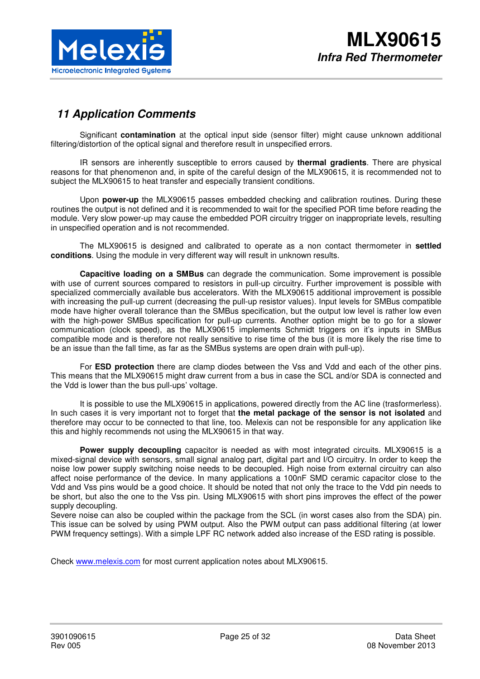

# **11 Application Comments**

Significant **contamination** at the optical input side (sensor filter) might cause unknown additional filtering/distortion of the optical signal and therefore result in unspecified errors.

IR sensors are inherently susceptible to errors caused by **thermal gradients**. There are physical reasons for that phenomenon and, in spite of the careful design of the MLX90615, it is recommended not to subject the MLX90615 to heat transfer and especially transient conditions.

Upon **power-up** the MLX90615 passes embedded checking and calibration routines. During these routines the output is not defined and it is recommended to wait for the specified POR time before reading the module. Very slow power-up may cause the embedded POR circuitry trigger on inappropriate levels, resulting in unspecified operation and is not recommended.

The MLX90615 is designed and calibrated to operate as a non contact thermometer in **settled conditions**. Using the module in very different way will result in unknown results.

**Capacitive loading on a SMBus** can degrade the communication. Some improvement is possible with use of current sources compared to resistors in pull-up circuitry. Further improvement is possible with specialized commercially available bus accelerators. With the MLX90615 additional improvement is possible with increasing the pull-up current (decreasing the pull-up resistor values). Input levels for SMBus compatible mode have higher overall tolerance than the SMBus specification, but the output low level is rather low even with the high-power SMBus specification for pull-up currents. Another option might be to go for a slower communication (clock speed), as the MLX90615 implements Schmidt triggers on it's inputs in SMBus compatible mode and is therefore not really sensitive to rise time of the bus (it is more likely the rise time to be an issue than the fall time, as far as the SMBus systems are open drain with pull-up).

For **ESD protection** there are clamp diodes between the Vss and Vdd and each of the other pins. This means that the MLX90615 might draw current from a bus in case the SCL and/or SDA is connected and the Vdd is lower than the bus pull-ups' voltage.

It is possible to use the MLX90615 in applications, powered directly from the AC line (trasformerless). In such cases it is very important not to forget that **the metal package of the sensor is not isolated** and therefore may occur to be connected to that line, too. Melexis can not be responsible for any application like this and highly recommends not using the MLX90615 in that way.

**Power supply decoupling** capacitor is needed as with most integrated circuits. MLX90615 is a mixed-signal device with sensors, small signal analog part, digital part and I/O circuitry. In order to keep the noise low power supply switching noise needs to be decoupled. High noise from external circuitry can also affect noise performance of the device. In many applications a 100nF SMD ceramic capacitor close to the Vdd and Vss pins would be a good choice. It should be noted that not only the trace to the Vdd pin needs to be short, but also the one to the Vss pin. Using MLX90615 with short pins improves the effect of the power supply decoupling.

Severe noise can also be coupled within the package from the SCL (in worst cases also from the SDA) pin. This issue can be solved by using PWM output. Also the PWM output can pass additional filtering (at lower PWM frequency settings). With a simple LPF RC network added also increase of the ESD rating is possible.

Check www.melexis.com for most current application notes about MLX90615.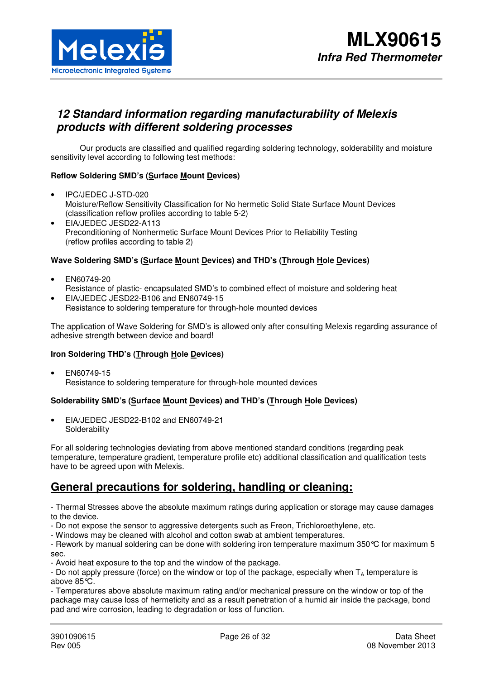

# **12 Standard information regarding manufacturability of Melexis products with different soldering processes**

Our products are classified and qualified regarding soldering technology, solderability and moisture sensitivity level according to following test methods:

### **Reflow Soldering SMD's (Surface Mount Devices)**

- IPC/JEDEC J-STD-020 Moisture/Reflow Sensitivity Classification for No hermetic Solid State Surface Mount Devices (classification reflow profiles according to table 5-2)
- EIA/JEDEC JESD22-A113 Preconditioning of Nonhermetic Surface Mount Devices Prior to Reliability Testing (reflow profiles according to table 2)

### **Wave Soldering SMD's (Surface Mount Devices) and THD's (Through Hole Devices)**

- EN60749-20 Resistance of plastic- encapsulated SMD's to combined effect of moisture and soldering heat
- EIA/JEDEC JESD22-B106 and EN60749-15 Resistance to soldering temperature for through-hole mounted devices

The application of Wave Soldering for SMD's is allowed only after consulting Melexis regarding assurance of adhesive strength between device and board!

#### **Iron Soldering THD's (Through Hole Devices)**

• EN60749-15 Resistance to soldering temperature for through-hole mounted devices

### **Solderability SMD's (Surface Mount Devices) and THD's (Through Hole Devices)**

• EIA/JEDEC JESD22-B102 and EN60749-21 **Solderability** 

For all soldering technologies deviating from above mentioned standard conditions (regarding peak temperature, temperature gradient, temperature profile etc) additional classification and qualification tests have to be agreed upon with Melexis.

# **General precautions for soldering, handling or cleaning:**

- Thermal Stresses above the absolute maximum ratings during application or storage may cause damages to the device.

- Do not expose the sensor to aggressive detergents such as Freon, Trichloroethylene, etc.
- Windows may be cleaned with alcohol and cotton swab at ambient temperatures.

- Rework by manual soldering can be done with soldering iron temperature maximum 350°C for maximum 5 sec.

- Avoid heat exposure to the top and the window of the package.

- Do not apply pressure (force) on the window or top of the package, especially when  $T_A$  temperature is above 85°C.

- Temperatures above absolute maximum rating and/or mechanical pressure on the window or top of the package may cause loss of hermeticity and as a result penetration of a humid air inside the package, bond pad and wire corrosion, leading to degradation or loss of function.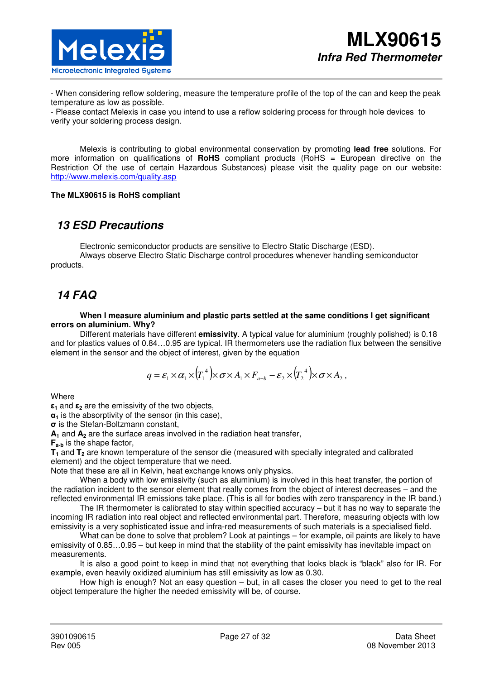- When considering reflow soldering, measure the temperature profile of the top of the can and keep the peak temperature as low as possible.

- Please contact Melexis in case you intend to use a reflow soldering process for through hole devices to verify your soldering process design.

Melexis is contributing to global environmental conservation by promoting **lead free** solutions. For more information on qualifications of **RoHS** compliant products (RoHS = European directive on the Restriction Of the use of certain Hazardous Substances) please visit the quality page on our website: http://www.melexis.com/quality.asp

#### **The MLX90615 is RoHS compliant**

# **13 ESD Precautions**

Electronic semiconductor products are sensitive to Electro Static Discharge (ESD). Always observe Electro Static Discharge control procedures whenever handling semiconductor

products.

# **14 FAQ**

**When I measure aluminium and plastic parts settled at the same conditions I get significant errors on aluminium. Why?** 

Different materials have different **emissivity**. A typical value for aluminium (roughly polished) is 0.18 and for plastics values of 0.84…0.95 are typical. IR thermometers use the radiation flux between the sensitive element in the sensor and the object of interest, given by the equation

$$
q = \varepsilon_1 \times \alpha_1 \times (T_1^4) \times \sigma \times A_1 \times F_{a-b} - \varepsilon_2 \times (T_2^4) \times \sigma \times A_2,
$$

**Where** 

**ε1** and **ε2** are the emissivity of the two objects,

**α1** is the absorptivity of the sensor (in this case),

**σ** is the Stefan-Boltzmann constant,

**A1** and **A2** are the surface areas involved in the radiation heat transfer,

**Fa-b** is the shape factor,

**T1** and **T2** are known temperature of the sensor die (measured with specially integrated and calibrated element) and the object temperature that we need.

Note that these are all in Kelvin, heat exchange knows only physics.

When a body with low emissivity (such as aluminium) is involved in this heat transfer, the portion of the radiation incident to the sensor element that really comes from the object of interest decreases – and the reflected environmental IR emissions take place. (This is all for bodies with zero transparency in the IR band.)

The IR thermometer is calibrated to stay within specified accuracy – but it has no way to separate the incoming IR radiation into real object and reflected environmental part. Therefore, measuring objects with low emissivity is a very sophisticated issue and infra-red measurements of such materials is a specialised field.

What can be done to solve that problem? Look at paintings – for example, oil paints are likely to have emissivity of 0.85…0.95 – but keep in mind that the stability of the paint emissivity has inevitable impact on measurements.

It is also a good point to keep in mind that not everything that looks black is "black" also for IR. For example, even heavily oxidized aluminium has still emissivity as low as 0.30.

How high is enough? Not an easy question – but, in all cases the closer you need to get to the real object temperature the higher the needed emissivity will be, of course.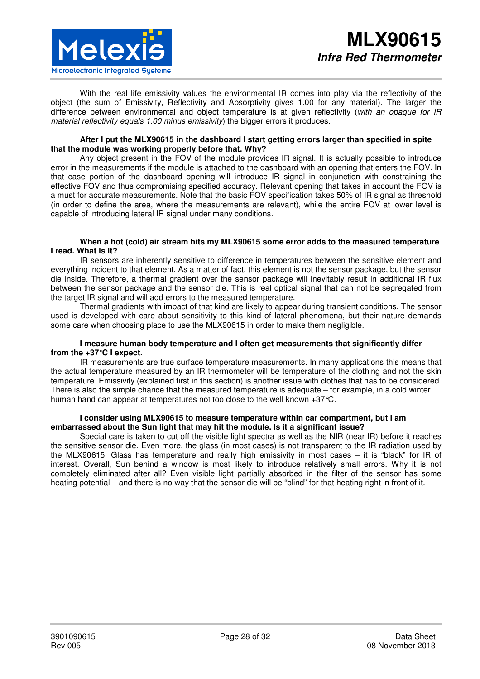

With the real life emissivity values the environmental IR comes into play via the reflectivity of the object (the sum of Emissivity, Reflectivity and Absorptivity gives 1.00 for any material). The larger the difference between environmental and object temperature is at given reflectivity (*with an opaque for IR material reflectivity equals 1.00 minus emissivity*) the bigger errors it produces.

#### **After I put the MLX90615 in the dashboard I start getting errors larger than specified in spite that the module was working properly before that. Why?**

Any object present in the FOV of the module provides IR signal. It is actually possible to introduce error in the measurements if the module is attached to the dashboard with an opening that enters the FOV. In that case portion of the dashboard opening will introduce IR signal in conjunction with constraining the effective FOV and thus compromising specified accuracy. Relevant opening that takes in account the FOV is a must for accurate measurements. Note that the basic FOV specification takes 50% of IR signal as threshold (in order to define the area, where the measurements are relevant), while the entire FOV at lower level is capable of introducing lateral IR signal under many conditions.

#### **When a hot (cold) air stream hits my MLX90615 some error adds to the measured temperature I read. What is it?**

IR sensors are inherently sensitive to difference in temperatures between the sensitive element and everything incident to that element. As a matter of fact, this element is not the sensor package, but the sensor die inside. Therefore, a thermal gradient over the sensor package will inevitably result in additional IR flux between the sensor package and the sensor die. This is real optical signal that can not be segregated from the target IR signal and will add errors to the measured temperature.

Thermal gradients with impact of that kind are likely to appear during transient conditions. The sensor used is developed with care about sensitivity to this kind of lateral phenomena, but their nature demands some care when choosing place to use the MLX90615 in order to make them negligible.

#### **I measure human body temperature and I often get measurements that significantly differ from the +37°C I expect.**

IR measurements are true surface temperature measurements. In many applications this means that the actual temperature measured by an IR thermometer will be temperature of the clothing and not the skin temperature. Emissivity (explained first in this section) is another issue with clothes that has to be considered. There is also the simple chance that the measured temperature is adequate – for example, in a cold winter human hand can appear at temperatures not too close to the well known +37 °C.

#### **I consider using MLX90615 to measure temperature within car compartment, but I am embarrassed about the Sun light that may hit the module. Is it a significant issue?**

Special care is taken to cut off the visible light spectra as well as the NIR (near IR) before it reaches the sensitive sensor die. Even more, the glass (in most cases) is not transparent to the IR radiation used by the MLX90615. Glass has temperature and really high emissivity in most cases – it is "black" for IR of interest. Overall, Sun behind a window is most likely to introduce relatively small errors. Why it is not completely eliminated after all? Even visible light partially absorbed in the filter of the sensor has some heating potential – and there is no way that the sensor die will be "blind" for that heating right in front of it.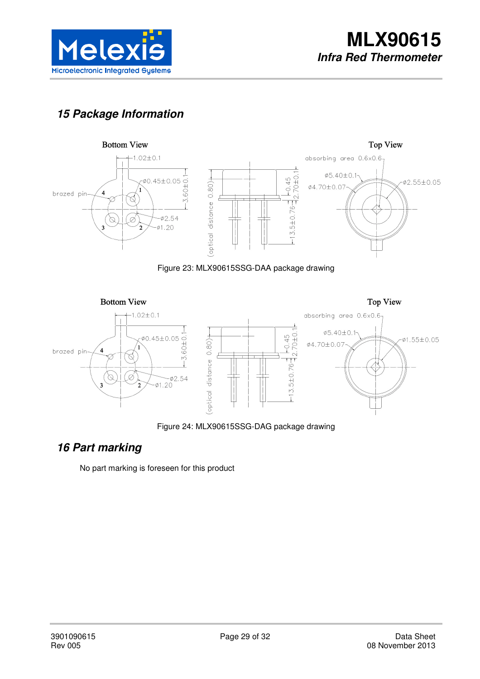

# **15 Package Information**







Figure 24: MLX90615SSG-DAG package drawing

# **16 Part marking**

No part marking is foreseen for this product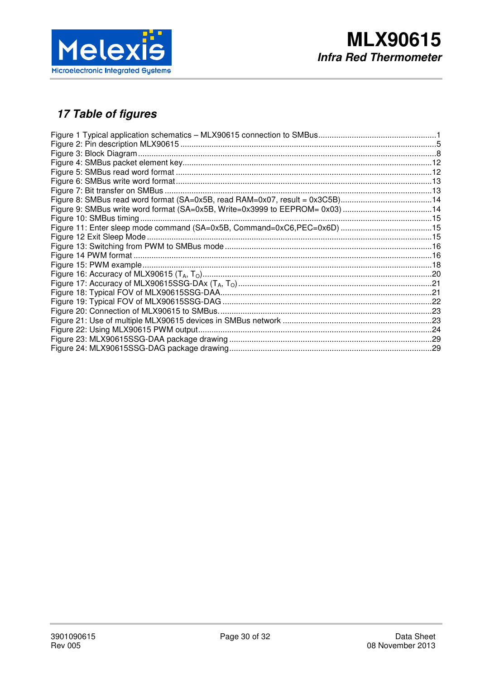

# 17 Table of figures

| Figure 8: SMBus read word format (SA=0x5B, read RAM=0x07, result = 0x3C5B)14 |  |
|------------------------------------------------------------------------------|--|
| Figure 9: SMBus write word format (SA=0x5B, Write=0x3999 to EEPROM= 0x03) 14 |  |
|                                                                              |  |
|                                                                              |  |
|                                                                              |  |
|                                                                              |  |
|                                                                              |  |
|                                                                              |  |
|                                                                              |  |
|                                                                              |  |
|                                                                              |  |
|                                                                              |  |
|                                                                              |  |
|                                                                              |  |
|                                                                              |  |
|                                                                              |  |
|                                                                              |  |